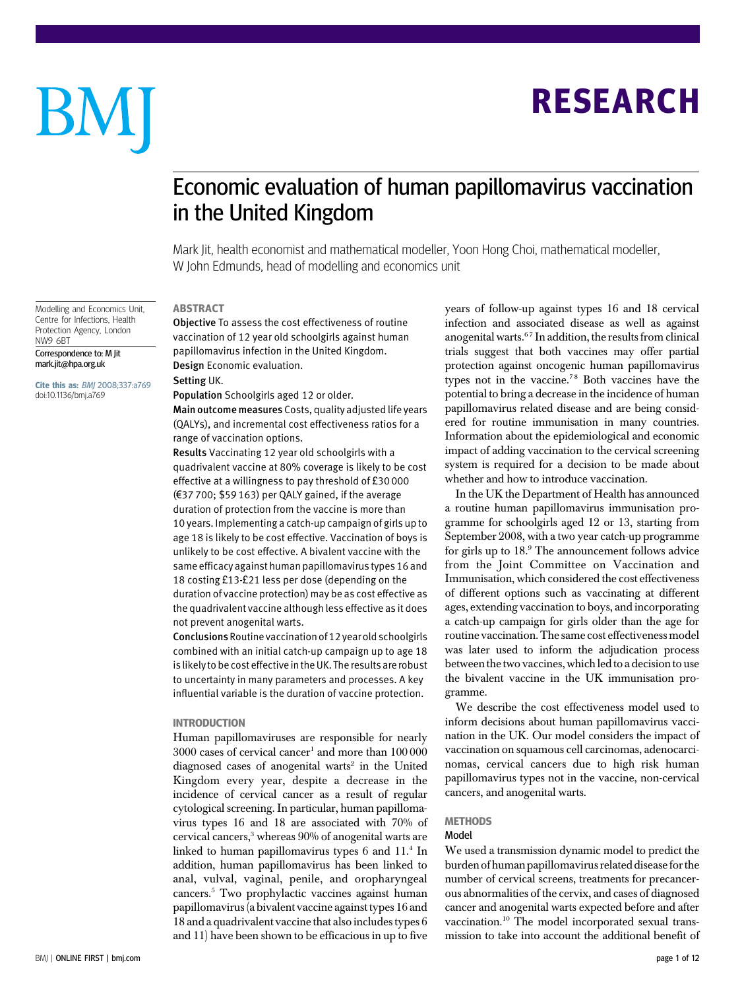# **RESEARCH** RESEARCH



## Economic evaluation of human papillomavirus vaccination in the United Kingdom

Mark Jit, health economist and mathematical modeller, Yoon Hong Choi, mathematical modeller, W John Edmunds, head of modelling and economics unit

Modelling and Economics Unit, Centre for Infections, Health Protection Agency, London NW9 6BT

Correspondence to: M Jit mark.jit@hpa.org.uk

Cite this as: BMJ 2008:337:a769 doi:10.1136/bmj.a769

### **ARSTRACT**

Objective To assess the cost effectiveness of routine vaccination of 12 year old schoolgirls against human papillomavirus infection in the United Kingdom. Design Economic evaluation.

### Setting UK.

Population Schoolgirls aged 12 or older. Main outcome measures Costs, quality adjusted life years (QALYs), and incremental cost effectiveness ratios for a range of vaccination options.

Results Vaccinating 12 year old schoolgirls with a quadrivalent vaccine at 80% coverage is likely to be cost effective at a willingness to pay threshold of £30 000 (€37 700; \$59 163) per QALY gained, if the average duration of protection from the vaccine is more than 10 years. Implementing a catch-up campaign of girls up to age 18 is likely to be cost effective. Vaccination of boys is unlikely to be cost effective. A bivalent vaccine with the same efficacy against human papillomavirus types 16 and 18 costing £13-£21 less per dose (depending on the duration of vaccine protection) may be as cost effective as the quadrivalent vaccine although less effective as it does not prevent anogenital warts.

Conclusions Routine vaccination of 12 year old schoolgirls combined with an initial catch-up campaign up to age 18 is likely to be cost effective in the UK. The results are robust to uncertainty in many parameters and processes. A key influential variable is the duration of vaccine protection.

### **INTRODUCTION**

---------------<br>Human papillomaviruses are responsible for nearly  $3000$  cases of cervical cancer<sup>1</sup> and more than  $100\,000$ diagnosed cases of anogenital warts<sup>2</sup> in the United Kingdom every year, despite a decrease in the incidence of cervical cancer as a result of regular cytological screening. In particular, human papillomavirus types 16 and 18 are associated with 70% of cervical cancers,3 whereas 90% of anogenital warts are linked to human papillomavirus types 6 and 11.4 In addition, human papillomavirus has been linked to anal, vulval, vaginal, penile, and oropharyngeal cancers.5 Two prophylactic vaccines against human papillomavirus (a bivalent vaccine against types 16 and 18 and a quadrivalent vaccine that also includes types 6 and 11) have been shown to be efficacious in up to five

years of follow-up against types 16 and 18 cervical infection and associated disease as well as against anogenital warts.<sup>67</sup> In addition, the results from clinical trials suggest that both vaccines may offer partial protection against oncogenic human papillomavirus types not in the vaccine.<sup>78</sup> Both vaccines have the potential to bring a decrease in the incidence of human papillomavirus related disease and are being considered for routine immunisation in many countries. Information about the epidemiological and economic impact of adding vaccination to the cervical screening system is required for a decision to be made about whether and how to introduce vaccination.

In the UK the Department of Health has announced a routine human papillomavirus immunisation programme for schoolgirls aged 12 or 13, starting from September 2008, with a two year catch-up programme for girls up to 18.9 The announcement follows advice from the Joint Committee on Vaccination and Immunisation, which considered the cost effectiveness of different options such as vaccinating at different ages, extending vaccination to boys, and incorporating a catch-up campaign for girls older than the age for routine vaccination. The same cost effectiveness model was later used to inform the adjudication process between the two vaccines, which led to a decision to use the bivalent vaccine in the UK immunisation programme.

We describe the cost effectiveness model used to inform decisions about human papillomavirus vaccination in the UK. Our model considers the impact of vaccination on squamous cell carcinomas, adenocarcinomas, cervical cancers due to high risk human papillomavirus types not in the vaccine, non-cervical cancers, and anogenital warts.

### Model

We used a transmission dynamic model to predict the burden of human papillomavirus related diseaseforthe number of cervical screens, treatments for precancerous abnormalities of the cervix, and cases of diagnosed cancer and anogenital warts expected before and after vaccination.10 The model incorporated sexual transmission to take into account the additional benefit of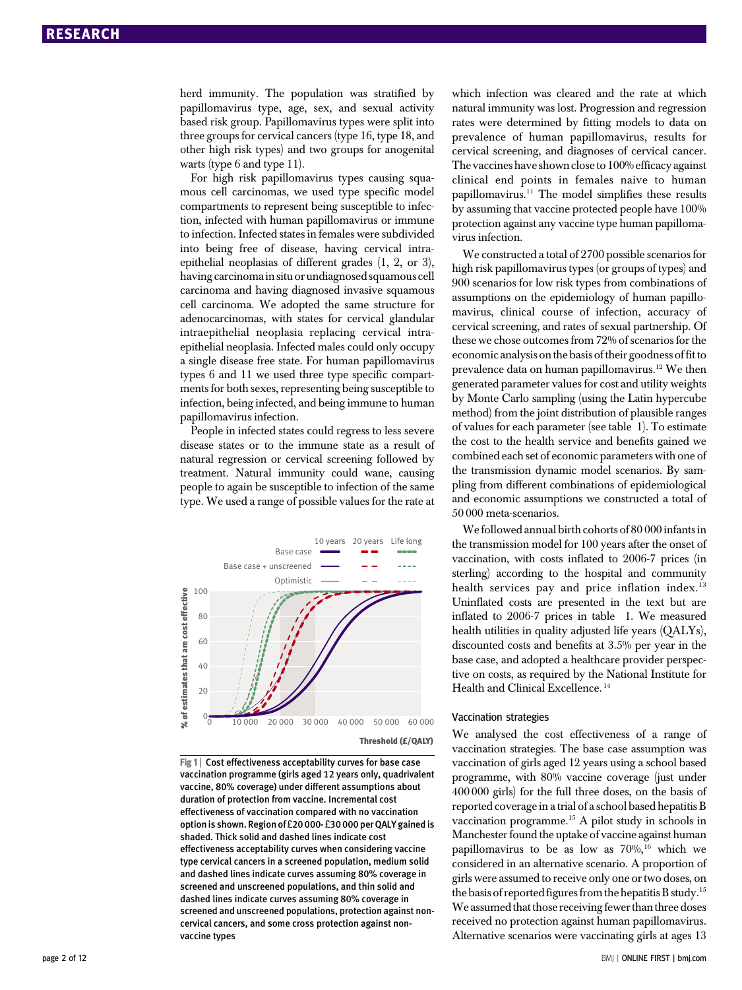herd immunity. The population was stratified by papillomavirus type, age, sex, and sexual activity based risk group. Papillomavirus types were split into three groups for cervical cancers (type 16, type 18, and other high risk types) and two groups for anogenital warts (type 6 and type 11).

For high risk papillomavirus types causing squamous cell carcinomas, we used type specific model compartments to represent being susceptible to infection, infected with human papillomavirus or immune to infection. Infected states in females were subdivided into being free of disease, having cervical intraepithelial neoplasias of different grades (1, 2, or 3), having carcinomain situ or undiagnosed squamous cell carcinoma and having diagnosed invasive squamous cell carcinoma. We adopted the same structure for adenocarcinomas, with states for cervical glandular intraepithelial neoplasia replacing cervical intraepithelial neoplasia. Infected males could only occupy a single disease free state. For human papillomavirus types 6 and 11 we used three type specific compartments for both sexes, representing being susceptible to infection, being infected, and being immune to human papillomavirus infection.

People in infected states could regress to less severe disease states or to the immune state as a result of natural regression or cervical screening followed by treatment. Natural immunity could wane, causing people to again be susceptible to infection of the same type. We used a range of possible values for the rate at





which infection was cleared and the rate at which natural immunity was lost. Progression and regression rates were determined by fitting models to data on prevalence of human papillomavirus, results for cervical screening, and diagnoses of cervical cancer. The vaccines have shown closeto 100% efficacy against clinical end points in females naive to human papillomavirus.<sup>11</sup> The model simplifies these results by assuming that vaccine protected people have 100% protection against any vaccine type human papillomavirus infection.

We constructed a total of 2700 possible scenarios for high risk papillomavirus types (or groups of types) and 900 scenarios for low risk types from combinations of assumptions on the epidemiology of human papillomavirus, clinical course of infection, accuracy of cervical screening, and rates of sexual partnership. Of these we chose outcomes from 72% of scenarios for the economic analysis on the basis of their goodness of fit to prevalence data on human papillomavirus.<sup>12</sup> We then generated parameter values for cost and utility weights by Monte Carlo sampling (using the Latin hypercube method) from the joint distribution of plausible ranges of values for each parameter (see table 1). To estimate the cost to the health service and benefits gained we combined each set of economic parameters with one of the transmission dynamic model scenarios. By sampling from different combinations of epidemiological and economic assumptions we constructed a total of 50 000 meta-scenarios.

We followed annual birth cohorts of 80 000 infants in the transmission model for 100 years after the onset of vaccination, with costs inflated to 2006-7 prices (in sterling) according to the hospital and community health services pay and price inflation index.<sup>13</sup> Uninflated costs are presented in the text but are inflated to 2006-7 prices in table 1. We measured health utilities in quality adjusted life years (QALYs), discounted costs and benefits at 3.5% per year in the base case, and adopted a healthcare provider perspective on costs, as required by the National Institute for Health and Clinical Excellence. <sup>14</sup>

### Vaccination strategies

We analysed the cost effectiveness of a range of vaccination strategies. The base case assumption was vaccination of girls aged 12 years using a school based programme, with 80% vaccine coverage (just under 400 000 girls) for the full three doses, on the basis of reported coverage in a trial of a school based hepatitis B vaccination programme.15 A pilot study in schools in Manchester found the uptake of vaccine against human papillomavirus to be as low as  $70\%$ ,<sup>16</sup> which we considered in an alternative scenario. A proportion of girls were assumed to receive only one or two doses, on the basis of reported figures from the hepatitis B study.<sup>15</sup> We assumed that those receiving fewer than three doses received no protection against human papillomavirus. Alternative scenarios were vaccinating girls at ages 13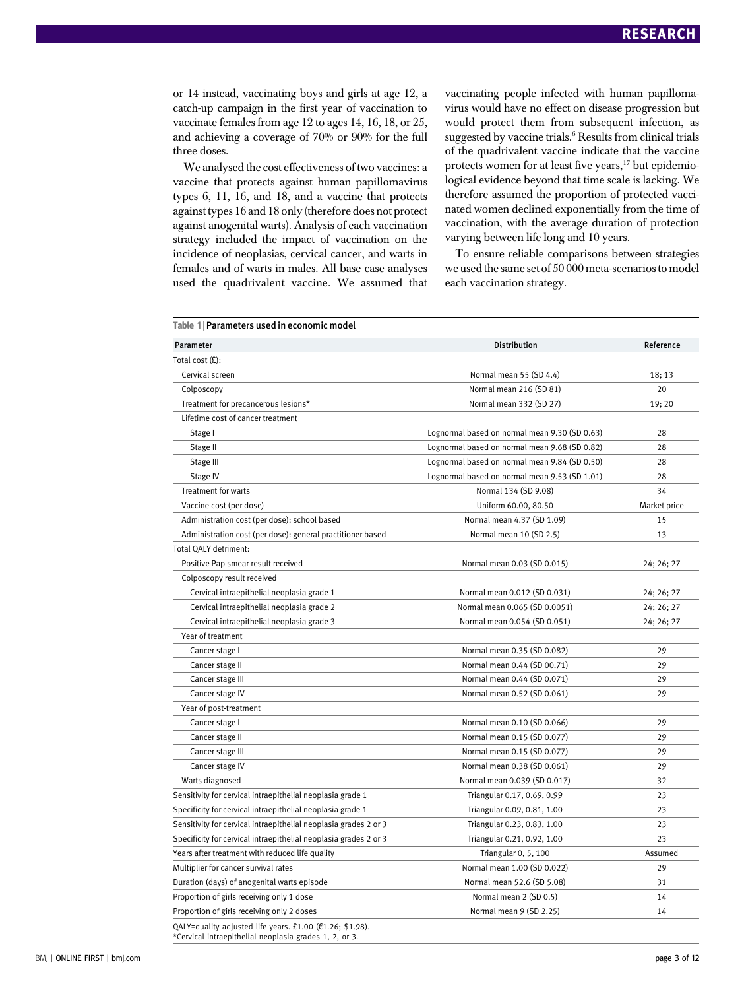or 14 instead, vaccinating boys and girls at age 12, a catch-up campaign in the first year of vaccination to vaccinate females from age 12 to ages 14, 16, 18, or 25, and achieving a coverage of 70% or 90% for the full three doses.

We analysed the cost effectiveness of two vaccines: a vaccine that protects against human papillomavirus types 6, 11, 16, and 18, and a vaccine that protects against types 16 and 18 only (therefore does not protect against anogenital warts). Analysis of each vaccination strategy included the impact of vaccination on the incidence of neoplasias, cervical cancer, and warts in females and of warts in males. All base case analyses used the quadrivalent vaccine. We assumed that

QALY=quality adjusted life years. £1.00 (€1.26; \$1.98). \*Cervical intraepithelial neoplasia grades 1, 2, or 3.

vaccinating people infected with human papillomavirus would have no effect on disease progression but would protect them from subsequent infection, as suggested by vaccine trials.<sup>6</sup> Results from clinical trials of the quadrivalent vaccine indicate that the vaccine protects women for at least five years, $17$  but epidemiological evidence beyond that time scale is lacking. We therefore assumed the proportion of protected vaccinated women declined exponentially from the time of vaccination, with the average duration of protection varying between life long and 10 years.

To ensure reliable comparisons between strategies we used the same set of 50 000 meta-scenarios to model each vaccination strategy.

| Table 1  Parameters used in economic model                       |                                               |              |
|------------------------------------------------------------------|-----------------------------------------------|--------------|
| Parameter                                                        | <b>Distribution</b>                           | Reference    |
| Total cost $(E)$ :                                               |                                               |              |
| Cervical screen                                                  | Normal mean 55 (SD 4.4)                       | 18; 13       |
| Colposcopy                                                       | Normal mean 216 (SD 81)                       | 20           |
| Treatment for precancerous lesions*                              | Normal mean 332 (SD 27)                       | 19:20        |
| Lifetime cost of cancer treatment                                |                                               |              |
| Stage I                                                          | Lognormal based on normal mean 9.30 (SD 0.63) | 28           |
| Stage II                                                         | Lognormal based on normal mean 9.68 (SD 0.82) | 28           |
| Stage III                                                        | Lognormal based on normal mean 9.84 (SD 0.50) | 28           |
| Stage IV                                                         | Lognormal based on normal mean 9.53 (SD 1.01) | 28           |
| Treatment for warts                                              | Normal 134 (SD 9.08)                          | 34           |
| Vaccine cost (per dose)                                          | Uniform 60.00, 80.50                          | Market price |
| Administration cost (per dose): school based                     | Normal mean 4.37 (SD 1.09)                    | 15           |
| Administration cost (per dose): general practitioner based       | Normal mean 10 (SD 2.5)                       | 13           |
| Total QALY detriment:                                            |                                               |              |
| Positive Pap smear result received                               | Normal mean 0.03 (SD 0.015)                   | 24; 26; 27   |
| Colposcopy result received                                       |                                               |              |
| Cervical intraepithelial neoplasia grade 1                       | Normal mean 0.012 (SD 0.031)                  | 24; 26; 27   |
| Cervical intraepithelial neoplasia grade 2                       | Normal mean 0.065 (SD 0.0051)                 | 24; 26; 27   |
| Cervical intraepithelial neoplasia grade 3                       | Normal mean 0.054 (SD 0.051)                  | 24; 26; 27   |
| Year of treatment                                                |                                               |              |
| Cancer stage I                                                   | Normal mean 0.35 (SD 0.082)                   | 29           |
| Cancer stage II                                                  | Normal mean 0.44 (SD 00.71)                   | 29           |
| Cancer stage III                                                 | Normal mean 0.44 (SD 0.071)                   | 29           |
| Cancer stage IV                                                  | Normal mean 0.52 (SD 0.061)                   | 29           |
| Year of post-treatment                                           |                                               |              |
| Cancer stage I                                                   | Normal mean 0.10 (SD 0.066)                   | 29           |
| Cancer stage II                                                  | Normal mean 0.15 (SD 0.077)                   | 29           |
| Cancer stage III                                                 | Normal mean 0.15 (SD 0.077)                   | 29           |
| Cancer stage IV                                                  | Normal mean 0.38 (SD 0.061)                   | 29           |
| Warts diagnosed                                                  | Normal mean 0.039 (SD 0.017)                  | 32           |
| Sensitivity for cervical intraepithelial neoplasia grade 1       | Triangular 0.17, 0.69, 0.99                   | 23           |
| Specificity for cervical intraepithelial neoplasia grade 1       | Triangular 0.09, 0.81, 1.00                   | 23           |
| Sensitivity for cervical intraepithelial neoplasia grades 2 or 3 | Triangular 0.23, 0.83, 1.00                   | 23           |
| Specificity for cervical intraepithelial neoplasia grades 2 or 3 | Triangular 0.21, 0.92, 1.00                   | 23           |
| Years after treatment with reduced life quality                  | Triangular 0, 5, 100                          | Assumed      |
| Multiplier for cancer survival rates                             | Normal mean 1.00 (SD 0.022)                   | 29           |
| Duration (days) of anogenital warts episode                      | Normal mean 52.6 (SD 5.08)                    | 31           |
| Proportion of girls receiving only 1 dose                        | Normal mean 2 (SD 0.5)                        | 14           |
| Proportion of girls receiving only 2 doses                       | Normal mean 9 (SD 2.25)                       | 14           |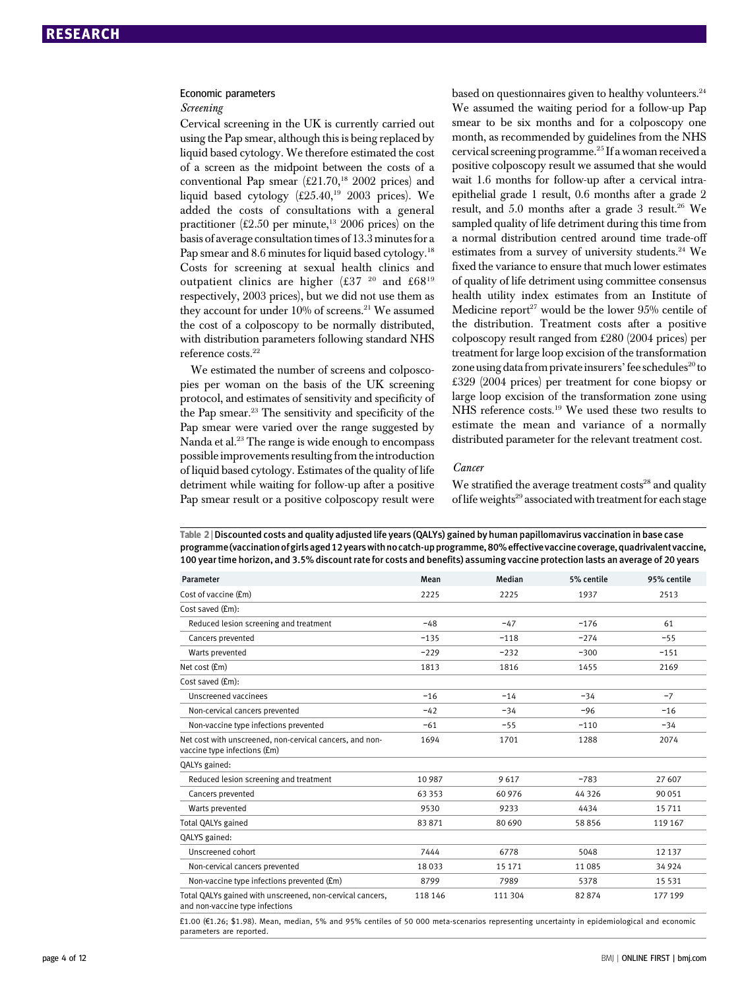### Economic parameters Screening

Cervical screening in the UK is currently carried out using the Pap smear, although this is being replaced by liquid based cytology. We therefore estimated the cost of a screen as the midpoint between the costs of a conventional Pap smear  $(\text{\pounds}21.70)^{18}$  2002 prices) and liquid based cytology  $(f25.40, ^{19}$  2003 prices). We added the costs of consultations with a general practitioner (£2.50 per minute, $^{13}$  2006 prices) on the basis of average consultationtimes of 13.3 minutesfor a Pap smear and 8.6 minutes for liquid based cytology.<sup>18</sup> Costs for screening at sexual health clinics and outpatient clinics are higher (£37<sup>20</sup> and £68<sup>19</sup> respectively, 2003 prices), but we did not use them as they account for under  $10\%$  of screens.<sup>21</sup> We assumed the cost of a colposcopy to be normally distributed, with distribution parameters following standard NHS reference costs.<sup>22</sup>

We estimated the number of screens and colposcopies per woman on the basis of the UK screening protocol, and estimates of sensitivity and specificity of the Pap smear.23 The sensitivity and specificity of the Pap smear were varied over the range suggested by Nanda et al.<sup>23</sup> The range is wide enough to encompass possible improvements resulting from the introduction of liquid based cytology. Estimates of the quality of life detriment while waiting for follow-up after a positive Pap smear result or a positive colposcopy result were based on questionnaires given to healthy volunteers.<sup>24</sup> We assumed the waiting period for a follow-up Pap smear to be six months and for a colposcopy one month, as recommended by guidelines from the NHS cervical screening programme.25 If a woman received a positive colposcopy result we assumed that she would wait 1.6 months for follow-up after a cervical intraepithelial grade 1 result, 0.6 months after a grade 2 result, and 5.0 months after a grade 3 result.<sup>26</sup> We sampled quality of life detriment during this time from a normal distribution centred around time trade-off estimates from a survey of university students.<sup>24</sup> We fixed the variance to ensure that much lower estimates of quality of life detriment using committee consensus health utility index estimates from an Institute of Medicine report<sup>27</sup> would be the lower  $95%$  centile of the distribution. Treatment costs after a positive colposcopy result ranged from £280 (2004 prices) per treatment for large loop excision of the transformation zone using data from private insurers' fee schedules<sup>20</sup> to £329 (2004 prices) per treatment for cone biopsy or large loop excision of the transformation zone using NHS reference costs.<sup>19</sup> We used these two results to estimate the mean and variance of a normally distributed parameter for the relevant treatment cost.

### Cancer

We stratified the average treatment  $costs<sup>28</sup>$  and quality of life weights<sup>29</sup> associated with treatment for each stage

Table 2 <sup>|</sup> Discounted costs and quality adjusted life years (QALYs) gained by human papillomavirus vaccination in base case programme (vaccination of girls aged 12 years with no catch-up programme, 80% effective vaccine coverage, quadrivalent vaccine, 100 year time horizon, and 3.5% discount rate for costs and benefits) assuming vaccine protection lasts an average of 20 years

| Parameter                                                                                    | Mean     | Median   | 5% centile | 95% centile |
|----------------------------------------------------------------------------------------------|----------|----------|------------|-------------|
| Cost of vaccine (£m)                                                                         | 2225     | 2225     | 1937       | 2513        |
| Cost saved (£m):                                                                             |          |          |            |             |
| Reduced lesion screening and treatment                                                       | $-48$    | $-47$    | $-176$     | 61          |
| Cancers prevented                                                                            | $-135$   | $-118$   | $-274$     | $-55$       |
| Warts prevented                                                                              | $-229$   | $-232$   | $-300$     | $-151$      |
| Net cost (£m)                                                                                | 1813     | 1816     | 1455       | 2169        |
| Cost saved (£m):                                                                             |          |          |            |             |
| Unscreened vaccinees                                                                         | $-16$    | $-14$    | $-34$      | $-7$        |
| Non-cervical cancers prevented                                                               | $-42$    | $-34$    | $-96$      | $-16$       |
| Non-vaccine type infections prevented                                                        | $-61$    | $-55$    | $-110$     | $-34$       |
| Net cost with unscreened, non-cervical cancers, and non-<br>vaccine type infections (£m)     | 1694     | 1701     | 1288       | 2074        |
| QALYs gained:                                                                                |          |          |            |             |
| Reduced lesion screening and treatment                                                       | 10 987   | 9617     | $-783$     | 27 607      |
| Cancers prevented                                                                            | 63 3 5 3 | 60 976   | 44 3 26    | 90051       |
| Warts prevented                                                                              | 9530     | 9233     | 4434       | 15711       |
| <b>Total QALYs gained</b>                                                                    | 83871    | 80 690   | 58856      | 119 167     |
| QALYS gained:                                                                                |          |          |            |             |
| Unscreened cohort                                                                            | 7444     | 6778     | 5048       | 12 137      |
| Non-cervical cancers prevented                                                               | 18033    | 15 1 7 1 | 11 085     | 34924       |
| Non-vaccine type infections prevented (£m)                                                   | 8799     | 7989     | 5378       | 15 5 3 1    |
| Total QALYs gained with unscreened, non-cervical cancers,<br>and non-vaccine type infections | 118 146  | 111 304  | 82874      | 177 199     |

£1.00 (€1.26; \$1.98). Mean, median, 5% and 95% centiles of 50 000 meta-scenarios representing uncertainty in epidemiological and economic parameters are reported.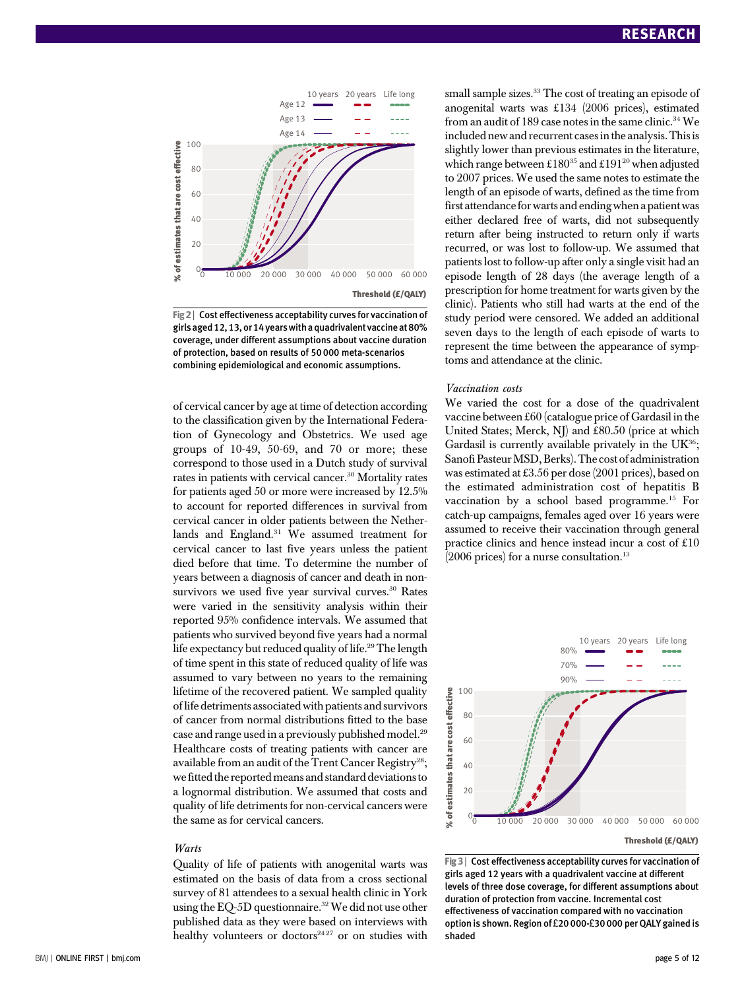

Fig 2 | Cost effectiveness acceptability curves for vaccination of girls aged 12, 13, or 14 yearswith a quadrivalent vaccine at 80% coverage, under different assumptions about vaccine duration of protection, based on results of 50 000 meta-scenarios combining epidemiological and economic assumptions.

of cervical cancer by age at time of detection according to the classification given by the International Federation of Gynecology and Obstetrics. We used age groups of  $10-49$ ,  $50-69$ , and  $70$  or more; these correspond to those used in a Dutch study of survival rates in patients with cervical cancer.<sup>30</sup> Mortality rates for patients aged 50 or more were increased by 12.5% to account for reported differences in survival from cervical cancer in older patients between the Netherlands and England.<sup>31</sup> We assumed treatment for cervical cancer to last five years unless the patient died before that time. To determine the number of years between a diagnosis of cancer and death in nonsurvivors we used five year survival curves.<sup>30</sup> Rates were varied in the sensitivity analysis within their reported 95% confidence intervals. We assumed that patients who survived beyond five years had a normal life expectancy but reduced quality of life.<sup>29</sup> The length of time spent in this state of reduced quality of life was assumed to vary between no years to the remaining lifetime of the recovered patient. We sampled quality of life detriments associated with patients and survivors of cancer from normal distributions fitted to the base case and range used in a previously published model.<sup>29</sup> Healthcare costs of treating patients with cancer are available from an audit of the Trent Cancer Registry<sup>28</sup>; wefitted the reported means and standard deviationsto a lognormal distribution. We assumed that costs and quality of life detriments for non-cervical cancers were the same as for cervical cancers.

### **Warts**

Quality of life of patients with anogenital warts was estimated on the basis of data from a cross sectional survey of 81 attendees to a sexual health clinic in York using the EQ-5D questionnaire.<sup>32</sup> We did not use other published data as they were based on interviews with healthy volunteers or doctors<sup>2427</sup> or on studies with small sample sizes.<sup>33</sup> The cost of treating an episode of anogenital warts was £134 (2006 prices), estimated from an audit of 189 case notes in the same clinic.<sup>34</sup> We included new and recurrent cases in the analysis. This is slightly lower than previous estimates in the literature, which range between £180<sup>35</sup> and £191<sup>20</sup> when adjusted to 2007 prices. We used the same notes to estimate the length of an episode of warts, defined as the time from first attendance for warts and ending when a patient was either declared free of warts, did not subsequently return after being instructed to return only if warts recurred, or was lost to follow-up. We assumed that patients lost to follow-up after only a single visit had an episode length of 28 days (the average length of a prescription for home treatment for warts given by the clinic). Patients who still had warts at the end of the study period were censored. We added an additional seven days to the length of each episode of warts to represent the time between the appearance of symptoms and attendance at the clinic.

### Vaccination costs

We varied the cost for a dose of the quadrivalent vaccine between £60 (catalogue price of Gardasil in the United States; Merck, NJ) and £80.50 (price at which Gardasil is currently available privately in the  $UK^{36}$ ; Sanofi Pasteur MSD, Berks). The cost of administration was estimated at £3.56 per dose (2001 prices), based on the estimated administration cost of hepatitis B vaccination by a school based programme.<sup>15</sup> For catch-up campaigns, females aged over 16 years were assumed to receive their vaccination through general practice clinics and hence instead incur a cost of £10  $(2006 \text{ prices})$  for a nurse consultation.<sup>13</sup>



Fig 3 | Cost effectiveness acceptability curves for vaccination of girls aged 12 years with a quadrivalent vaccine at different levels of three dose coverage, for different assumptions about duration of protection from vaccine. Incremental cost effectiveness of vaccination compared with no vaccination option is shown. Region of £20 000-£30 000 per QALY gained is shaded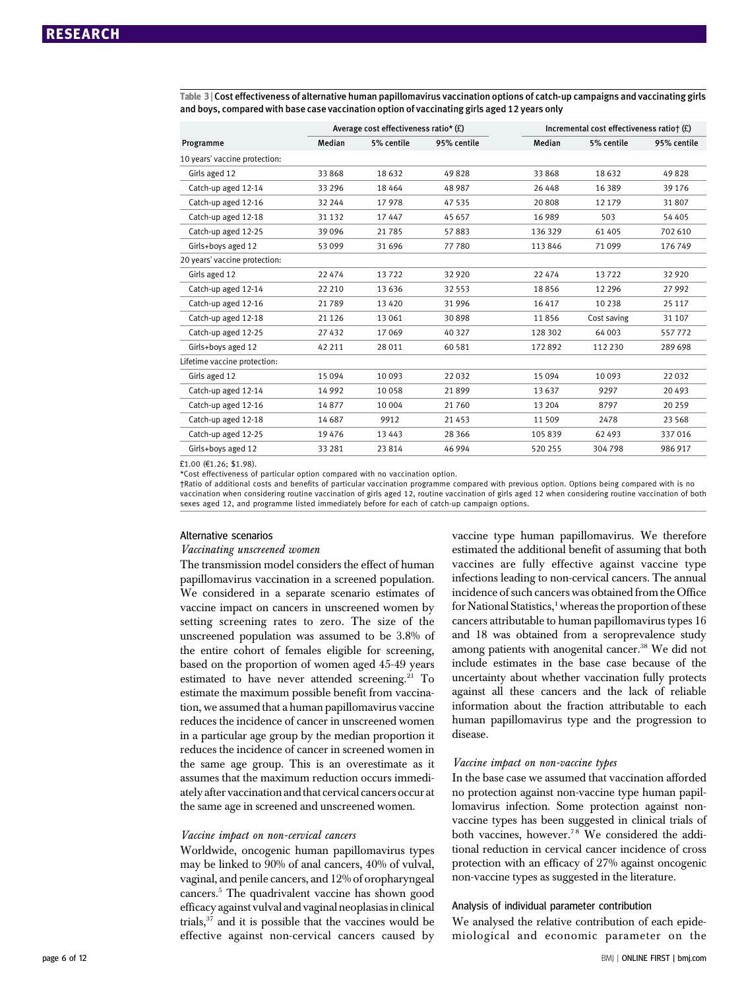|                               | Average cost effectiveness ratio* $(E)$ |            |             |          | Incremental cost effectiveness ratio+ (£) |             |  |
|-------------------------------|-----------------------------------------|------------|-------------|----------|-------------------------------------------|-------------|--|
| Programme                     | Median                                  | 5% centile | 95% centile | Median   | 5% centile                                | 95% centile |  |
| 10 years' vaccine protection: |                                         |            |             |          |                                           |             |  |
| Girls aged 12                 | 33868                                   | 18632      | 49828       | 33868    | 18632                                     | 49828       |  |
| Catch-up aged 12-14           | 33 2 9 6                                | 18 4 6 4   | 48 987      | 26 4 4 8 | 16 3 89                                   | 39 1 7 6    |  |
| Catch-up aged 12-16           | 32 244                                  | 17978      | 47 535      | 20808    | 12 179                                    | 31 807      |  |
| Catch-up aged 12-18           | 31 1 32                                 | 17447      | 45 657      | 16 9 89  | 503                                       | 54 405      |  |
| Catch-up aged 12-25           | 39096                                   | 21785      | 57883       | 136 329  | 61 405                                    | 702 610     |  |
| Girls+boys aged 12            | 53099                                   | 31 696     | 77780       | 113846   | 71 0 9 9                                  | 176749      |  |
| 20 years' vaccine protection: |                                         |            |             |          |                                           |             |  |
| Girls aged 12                 | 22 4 7 4                                | 13722      | 32920       | 22 474   | 13722                                     | 32 9 20     |  |
| Catch-up aged 12-14           | 22 210                                  | 13636      | 32 5 53     | 18856    | 12 2 9 6                                  | 27 992      |  |
| Catch-up aged 12-16           | 21789                                   | 13 4 20    | 31 996      | 16 4 17  | 10 238                                    | 25 1 17     |  |
| Catch-up aged 12-18           | 21 1 26                                 | 13 061     | 30898       | 11856    | Cost saving                               | 31 107      |  |
| Catch-up aged 12-25           | 27432                                   | 17069      | 40 3 27     | 128 302  | 64 003                                    | 557772      |  |
| Girls+boys aged 12            | 42 211                                  | 28 011     | 60 581      | 172892   | 112 230                                   | 289 698     |  |
| Lifetime vaccine protection:  |                                         |            |             |          |                                           |             |  |
| Girls aged 12                 | 15094                                   | 10 0 93    | 22 0 32     | 15 0 94  | 10 0 93                                   | 22 0 32     |  |
| Catch-up aged 12-14           | 14992                                   | 10058      | 21899       | 13 637   | 9297                                      | 20 4 9 3    |  |
| Catch-up aged 12-16           | 14877                                   | 10 004     | 21760       | 13 204   | 8797                                      | 20 25 9     |  |
| Catch-up aged 12-18           | 14687                                   | 9912       | 21 4 5 3    | 11 509   | 2478                                      | 23 5 68     |  |
| Catch-up aged 12-25           | 19476                                   | 13 4 43    | 28 3 6 6    | 105839   | 62 493                                    | 337016      |  |
| Girls+boys aged 12            | 33 28 1                                 | 23814      | 46 994      | 520 255  | 304798                                    | 986 917     |  |

Table 3 <sup>|</sup> Cost effectiveness of alternative human papillomavirus vaccination options of catch-up campaigns and vaccinating girls and boys, compared with base case vaccination option of vaccinating girls aged 12 years only

£1.00 (€1.26; \$1.98).

\*Cost effectiveness of particular option compared with no vaccination option.

†Ratio of additional costs and benefits of particular vaccination programme compared with previous option. Options being compared with is no vaccination when considering routine vaccination of girls aged 12, routine vaccination of girls aged 12 when considering routine vaccination of both sexes aged 12, and programme listed immediately before for each of catch-up campaign options.

### Alternative scenarios

### Vaccinating unscreened women

The transmission model considers the effect of human papillomavirus vaccination in a screened population. We considered in a separate scenario estimates of vaccine impact on cancers in unscreened women by setting screening rates to zero. The size of the unscreened population was assumed to be 3.8% of the entire cohort of females eligible for screening, based on the proportion of women aged 45-49 years estimated to have never attended screening.<sup>21</sup> To estimate the maximum possible benefit from vaccination, we assumed that a human papillomavirus vaccine reduces the incidence of cancer in unscreened women in a particular age group by the median proportion it reduces the incidence of cancer in screened women in the same age group. This is an overestimate as it assumes that the maximum reduction occurs immediately after vaccination and that cervical cancers occur at the same age in screened and unscreened women.

### Vaccine impact on non-cervical cancers

Worldwide, oncogenic human papillomavirus types may be linked to 90% of anal cancers, 40% of vulval, vaginal, and penile cancers, and 12% of oropharyngeal cancers.5 The quadrivalent vaccine has shown good efficacy against vulval and vaginal neoplasias in clinical trials,37 and it is possible that the vaccines would be effective against non-cervical cancers caused by vaccine type human papillomavirus. We therefore estimated the additional benefit of assuming that both vaccines are fully effective against vaccine type infections leading to non-cervical cancers. The annual incidence of such cancers was obtained from the Office for National Statistics, $<sup>1</sup>$  whereas the proportion of these</sup> cancers attributable to human papillomavirus types 16 and 18 was obtained from a seroprevalence study among patients with anogenital cancer.<sup>38</sup> We did not include estimates in the base case because of the uncertainty about whether vaccination fully protects against all these cancers and the lack of reliable information about the fraction attributable to each human papillomavirus type and the progression to disease.

### Vaccine impact on non-vaccine types

In the base case we assumed that vaccination afforded no protection against non-vaccine type human papillomavirus infection. Some protection against nonvaccine types has been suggested in clinical trials of both vaccines, however.<sup>78</sup> We considered the additional reduction in cervical cancer incidence of cross protection with an efficacy of 27% against oncogenic non-vaccine types as suggested in the literature.

### Analysis of individual parameter contribution

We analysed the relative contribution of each epidemiological and economic parameter on the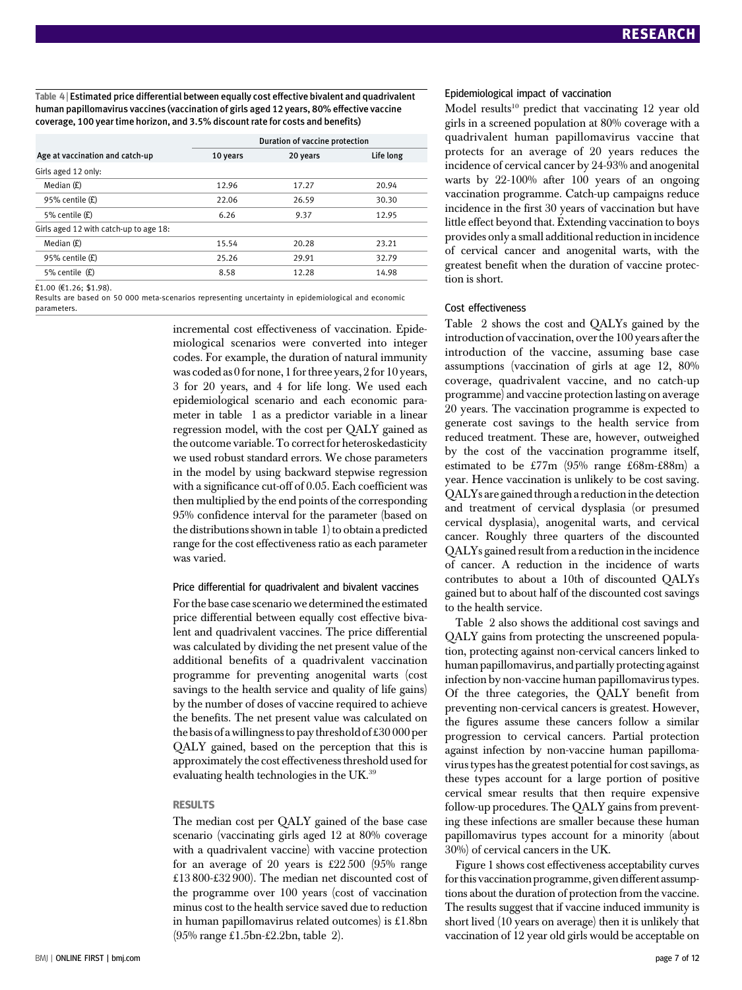Table 4 <sup>|</sup> Estimated price differential between equally cost effective bivalent and quadrivalent human papillomavirus vaccines (vaccination of girls aged 12 years, 80% effective vaccine coverage, 100 year time horizon, and 3.5% discount rate for costs and benefits)

|                                        | Duration of vaccine protection |          |           |  |
|----------------------------------------|--------------------------------|----------|-----------|--|
| Age at vaccination and catch-up        | 10 years                       | 20 years | Life long |  |
| Girls aged 12 only:                    |                                |          |           |  |
| Median $(E)$                           | 12.96                          | 17.27    | 20.94     |  |
| 95% centile $(E)$                      | 22.06                          | 26.59    | 30.30     |  |
| 5% centile (£)                         | 6.26                           | 9.37     | 12.95     |  |
| Girls aged 12 with catch-up to age 18: |                                |          |           |  |
| Median (£)                             | 15.54                          | 20.28    | 23.21     |  |
| 95% centile $(E)$                      | 25.26                          | 29.91    | 32.79     |  |
| 5% centile (£)                         | 8.58                           | 12.28    | 14.98     |  |
|                                        |                                |          |           |  |

£1.00 (€1.26; \$1.98).

Results are based on 50 000 meta-scenarios representing uncertainty in epidemiological and economic parameters.

> incremental cost effectiveness of vaccination. Epidemiological scenarios were converted into integer codes. For example, the duration of natural immunity was coded as 0 for none, 1 for three years, 2 for 10 years, 3 for 20 years, and 4 for life long. We used each epidemiological scenario and each economic parameter in table 1 as a predictor variable in a linear regression model, with the cost per QALY gained as the outcome variable. To correct for heteroskedasticity we used robust standard errors. We chose parameters in the model by using backward stepwise regression with a significance cut-off of 0.05. Each coefficient was then multiplied by the end points of the corresponding 95% confidence interval for the parameter (based on the distributions shown in table 1) to obtain a predicted range for the cost effectiveness ratio as each parameter was varied.

### Price differential for quadrivalent and bivalent vaccines

For the base case scenario we determined the estimated price differential between equally cost effective bivalent and quadrivalent vaccines. The price differential was calculated by dividing the net present value of the additional benefits of a quadrivalent vaccination programme for preventing anogenital warts (cost savings to the health service and quality of life gains) by the number of doses of vaccine required to achieve the benefits. The net present value was calculated on the basis of a willingnessto paythreshold of £30 000 per QALY gained, based on the perception that this is approximately the cost effectiveness threshold used for evaluating health technologies in the UK.39

The median cost per QALY gained of the base case scenario (vaccinating girls aged 12 at 80% coverage with a quadrivalent vaccine) with vaccine protection for an average of 20 years is £22 500 (95% range £13 800-£32 900). The median net discounted cost of the programme over 100 years (cost of vaccination minus cost to the health service saved due to reduction in human papillomavirus related outcomes) is £1.8bn (95% range £1.5bn-£2.2bn, table 2).

### Epidemiological impact of vaccination

Model results<sup>10</sup> predict that vaccinating 12 year old girls in a screened population at 80% coverage with a quadrivalent human papillomavirus vaccine that protects for an average of 20 years reduces the incidence of cervical cancer by 24-93% and anogenital warts by 22-100% after 100 years of an ongoing vaccination programme. Catch-up campaigns reduce incidence in the first 30 years of vaccination but have little effect beyond that. Extending vaccination to boys provides only a small additional reduction in incidence of cervical cancer and anogenital warts, with the greatest benefit when the duration of vaccine protection is short.

### Cost effectiveness

Table 2 shows the cost and QALYs gained by the introduction of vaccination, overthe 100 years afterthe introduction of the vaccine, assuming base case assumptions (vaccination of girls at age 12, 80% coverage, quadrivalent vaccine, and no catch-up programme) and vaccine protection lasting on average 20 years. The vaccination programme is expected to generate cost savings to the health service from reduced treatment. These are, however, outweighed by the cost of the vaccination programme itself, estimated to be £77m (95% range £68m-£88m) a year. Hence vaccination is unlikely to be cost saving. QALYs are gained through a reduction in the detection and treatment of cervical dysplasia (or presumed cervical dysplasia), anogenital warts, and cervical cancer. Roughly three quarters of the discounted QALYs gained result from a reduction in the incidence of cancer. A reduction in the incidence of warts contributes to about a 10th of discounted QALYs gained but to about half of the discounted cost savings to the health service.

Table 2 also shows the additional cost savings and QALY gains from protecting the unscreened population, protecting against non-cervical cancers linked to human papillomavirus, and partially protecting against infection by non-vaccine human papillomavirus types. Of the three categories, the QALY benefit from preventing non-cervical cancers is greatest. However, the figures assume these cancers follow a similar progression to cervical cancers. Partial protection against infection by non-vaccine human papillomavirus types has the greatest potential for cost savings, as these types account for a large portion of positive cervical smear results that then require expensive follow-up procedures. The QALY gains from preventing these infections are smaller because these human papillomavirus types account for a minority (about 30%) of cervical cancers in the UK.

Figure 1 shows cost effectiveness acceptability curves for this vaccination programme, given different assumptions about the duration of protection from the vaccine. The results suggest that if vaccine induced immunity is short lived (10 years on average) then it is unlikely that vaccination of 12 year old girls would be acceptable on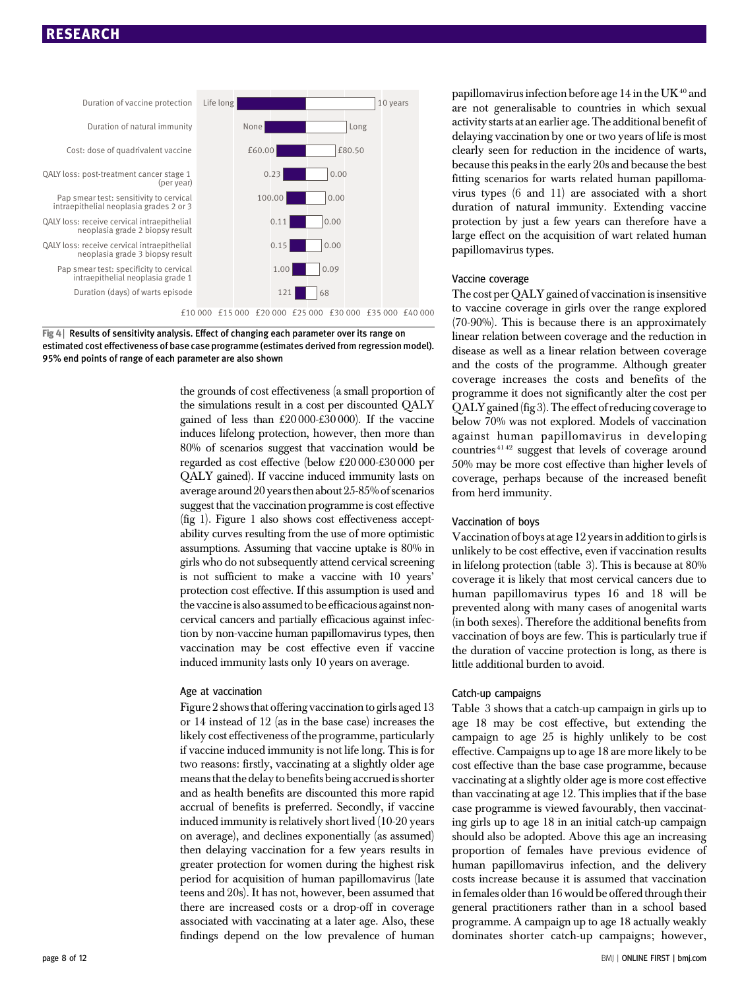



the grounds of cost effectiveness (a small proportion of the simulations result in a cost per discounted QALY gained of less than £20 000-£30 000). If the vaccine induces lifelong protection, however, then more than 80% of scenarios suggest that vaccination would be regarded as cost effective (below £20 000-£30 000 per QALY gained). If vaccine induced immunity lasts on average around 20 yearsthen about 25-85% of scenarios suggest that the vaccination programme is cost effective (fig 1). Figure 1 also shows cost effectiveness acceptability curves resulting from the use of more optimistic assumptions. Assuming that vaccine uptake is 80% in girls who do not subsequently attend cervical screening is not sufficient to make a vaccine with 10 years' protection cost effective. If this assumption is used and the vaccine is also assumed to be efficacious against noncervical cancers and partially efficacious against infection by non-vaccine human papillomavirus types, then vaccination may be cost effective even if vaccine induced immunity lasts only 10 years on average.

### Age at vaccination

Figure 2 shows that offering vaccinationto girls aged 13 or 14 instead of 12 (as in the base case) increases the likely cost effectiveness of the programme, particularly if vaccine induced immunity is not life long. This is for two reasons: firstly, vaccinating at a slightly older age meansthatthe delayto benefits being accrued is shorter and as health benefits are discounted this more rapid accrual of benefits is preferred. Secondly, if vaccine induced immunity is relatively short lived (10-20 years on average), and declines exponentially (as assumed) then delaying vaccination for a few years results in greater protection for women during the highest risk period for acquisition of human papillomavirus (late teens and 20s). It has not, however, been assumed that there are increased costs or a drop-off in coverage associated with vaccinating at a later age. Also, these findings depend on the low prevalence of human papillomavirus infection before age  $14$  in the UK $40$  and are not generalisable to countries in which sexual activity starts at an earlier age. The additional benefit of delaying vaccination by one or two years of life is most clearly seen for reduction in the incidence of warts, because this peaks in the early 20s and because the best fitting scenarios for warts related human papillomavirus types (6 and 11) are associated with a short duration of natural immunity. Extending vaccine protection by just a few years can therefore have a large effect on the acquisition of wart related human papillomavirus types.

### Vaccine coverage

The cost per QALY gained of vaccination is insensitive to vaccine coverage in girls over the range explored (70-90%). This is because there is an approximately linear relation between coverage and the reduction in disease as well as a linear relation between coverage and the costs of the programme. Although greater coverage increases the costs and benefits of the programme it does not significantly alter the cost per QALY gained (fig 3). The effect of reducing coverage to below 70% was not explored. Models of vaccination against human papillomavirus in developing countries 41 42 suggest that levels of coverage around 50% may be more cost effective than higher levels of coverage, perhaps because of the increased benefit from herd immunity.

### Vaccination of boys

Vaccination of boys at age 12 years in additionto girls is unlikely to be cost effective, even if vaccination results in lifelong protection (table 3). This is because at 80% coverage it is likely that most cervical cancers due to human papillomavirus types 16 and 18 will be prevented along with many cases of anogenital warts (in both sexes). Therefore the additional benefits from vaccination of boys are few. This is particularly true if the duration of vaccine protection is long, as there is little additional burden to avoid.

### Catch-up campaigns

Table 3 shows that a catch-up campaign in girls up to age 18 may be cost effective, but extending the campaign to age 25 is highly unlikely to be cost effective. Campaigns up to age 18 are more likely to be cost effective than the base case programme, because vaccinating at a slightly older age is more cost effective than vaccinating at age 12. This implies that if the base case programme is viewed favourably, then vaccinating girls up to age 18 in an initial catch-up campaign should also be adopted. Above this age an increasing proportion of females have previous evidence of human papillomavirus infection, and the delivery costs increase because it is assumed that vaccination in females older than 16 would be offered through their general practitioners rather than in a school based programme. A campaign up to age 18 actually weakly dominates shorter catch-up campaigns; however,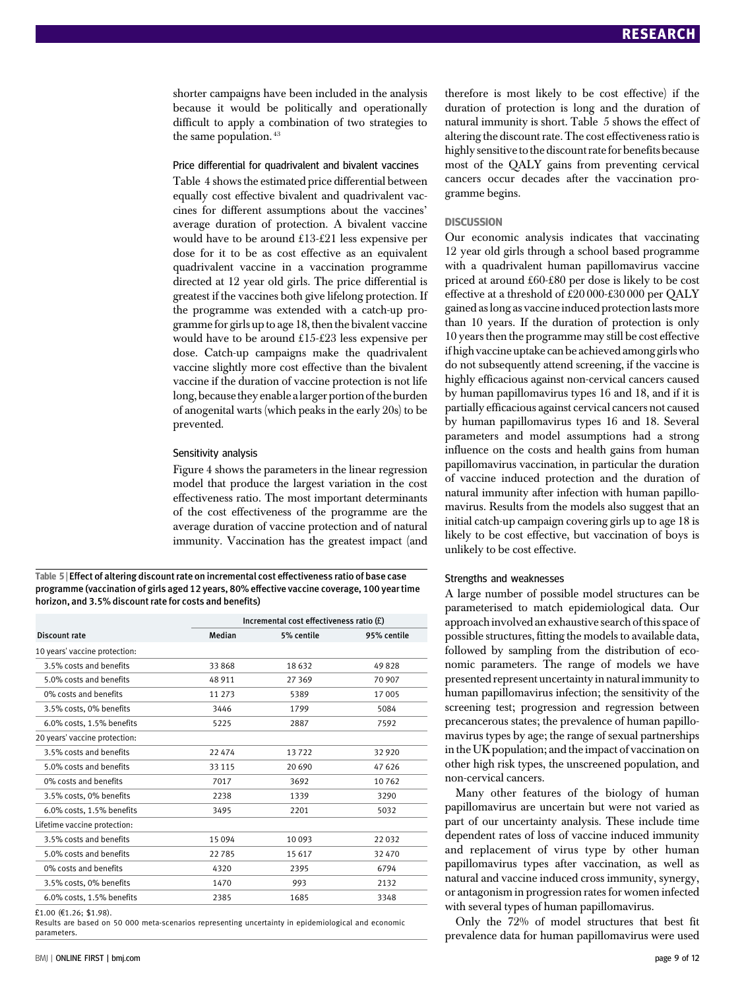shorter campaigns have been included in the analysis because it would be politically and operationally difficult to apply a combination of two strategies to the same population. <sup>43</sup>

### Price differential for quadrivalent and bivalent vaccines

Table 4 shows the estimated price differential between equally cost effective bivalent and quadrivalent vaccines for different assumptions about the vaccines' average duration of protection. A bivalent vaccine would have to be around £13-£21 less expensive per dose for it to be as cost effective as an equivalent quadrivalent vaccine in a vaccination programme directed at 12 year old girls. The price differential is greatest if the vaccines both give lifelong protection. If the programme was extended with a catch-up programme for girls up to age 18, then the bivalent vaccine would have to be around £15-£23 less expensive per dose. Catch-up campaigns make the quadrivalent vaccine slightly more cost effective than the bivalent vaccine if the duration of vaccine protection is not life long, because they enable a larger portion of the burden of anogenital warts (which peaks in the early 20s) to be prevented.

### Sensitivity analysis

Figure 4 shows the parameters in the linear regression model that produce the largest variation in the cost effectiveness ratio. The most important determinants of the cost effectiveness of the programme are the average duration of vaccine protection and of natural immunity. Vaccination has the greatest impact (and

Table 5 <sup>|</sup> Effect of altering discount rate on incremental cost effectiveness ratio of base case programme (vaccination of girls aged 12 years, 80% effective vaccine coverage, 100 year time horizon, and 3.5% discount rate for costs and benefits)

|                               |          | Incremental cost effectiveness ratio (£) |             |  |  |
|-------------------------------|----------|------------------------------------------|-------------|--|--|
| Discount rate                 | Median   | 5% centile                               | 95% centile |  |  |
| 10 years' vaccine protection: |          |                                          |             |  |  |
| 3.5% costs and benefits       | 33868    | 18632                                    | 49828       |  |  |
| 5.0% costs and benefits       | 48 911   | 27 3 69                                  | 70 907      |  |  |
| 0% costs and benefits         | 11 2 7 3 | 5389                                     | 17 005      |  |  |
| 3.5% costs, 0% benefits       | 3446     | 1799                                     | 5084        |  |  |
| 6.0% costs, 1.5% benefits     | 5225     | 2887                                     | 7592        |  |  |
| 20 years' vaccine protection: |          |                                          |             |  |  |
| 3.5% costs and benefits       | 22 4 7 4 | 13722                                    | 32 9 20     |  |  |
| 5.0% costs and benefits       | 33 1 15  | 20 690                                   | 47 626      |  |  |
| 0% costs and benefits         | 7017     | 3692                                     | 10762       |  |  |
| 3.5% costs, 0% benefits       | 2238     | 1339                                     | 3290        |  |  |
| $6.0\%$ costs, 1.5% benefits  | 3495     | 2201                                     | 5032        |  |  |
| Lifetime vaccine protection:  |          |                                          |             |  |  |
| 3.5% costs and benefits       | 15094    | 10 0 93                                  | 22 032      |  |  |
| 5.0% costs and benefits       | 22785    | 15 617                                   | 32 470      |  |  |
| 0% costs and benefits         | 4320     | 2395                                     | 6794        |  |  |
| 3.5% costs, 0% benefits       | 1470     | 993                                      | 2132        |  |  |
| 6.0% costs, 1.5% benefits     | 2385     | 1685                                     | 3348        |  |  |

£1.00 (€1.26; \$1.98).

Results are based on 50 000 meta-scenarios representing uncertainty in epidemiological and economic parameters.

therefore is most likely to be cost effective) if the duration of protection is long and the duration of natural immunity is short. Table 5 shows the effect of altering the discount rate. The cost effectiveness ratio is highly sensitive to the discount rate for benefits because most of the QALY gains from preventing cervical cancers occur decades after the vaccination programme begins.

Our economic analysis indicates that vaccinating 12 year old girls through a school based programme with a quadrivalent human papillomavirus vaccine priced at around £60-£80 per dose is likely to be cost effective at a threshold of £20 000-£30 000 per QALY gained as long as vaccine induced protection lasts more than 10 years. If the duration of protection is only 10 years then the programme may still be cost effective if high vaccine uptake can be achieved among girls who do not subsequently attend screening, if the vaccine is highly efficacious against non-cervical cancers caused by human papillomavirus types 16 and 18, and if it is partially efficacious against cervical cancers not caused by human papillomavirus types 16 and 18. Several parameters and model assumptions had a strong influence on the costs and health gains from human papillomavirus vaccination, in particular the duration of vaccine induced protection and the duration of natural immunity after infection with human papillomavirus. Results from the models also suggest that an initial catch-up campaign covering girls up to age 18 is likely to be cost effective, but vaccination of boys is unlikely to be cost effective.

### Strengths and weaknesses

A large number of possible model structures can be parameterised to match epidemiological data. Our approach involved an exhaustive search of this space of possible structures, fitting the models to available data, followed by sampling from the distribution of economic parameters. The range of models we have presented represent uncertainty in natural immunity to human papillomavirus infection; the sensitivity of the screening test; progression and regression between precancerous states; the prevalence of human papillomavirus types by age; the range of sexual partnerships in the UK population; and the impact of vaccination on other high risk types, the unscreened population, and non-cervical cancers.

Many other features of the biology of human papillomavirus are uncertain but were not varied as part of our uncertainty analysis. These include time dependent rates of loss of vaccine induced immunity and replacement of virus type by other human papillomavirus types after vaccination, as well as natural and vaccine induced cross immunity, synergy, or antagonism in progression rates for women infected with several types of human papillomavirus.

Only the 72% of model structures that best fit prevalence data for human papillomavirus were used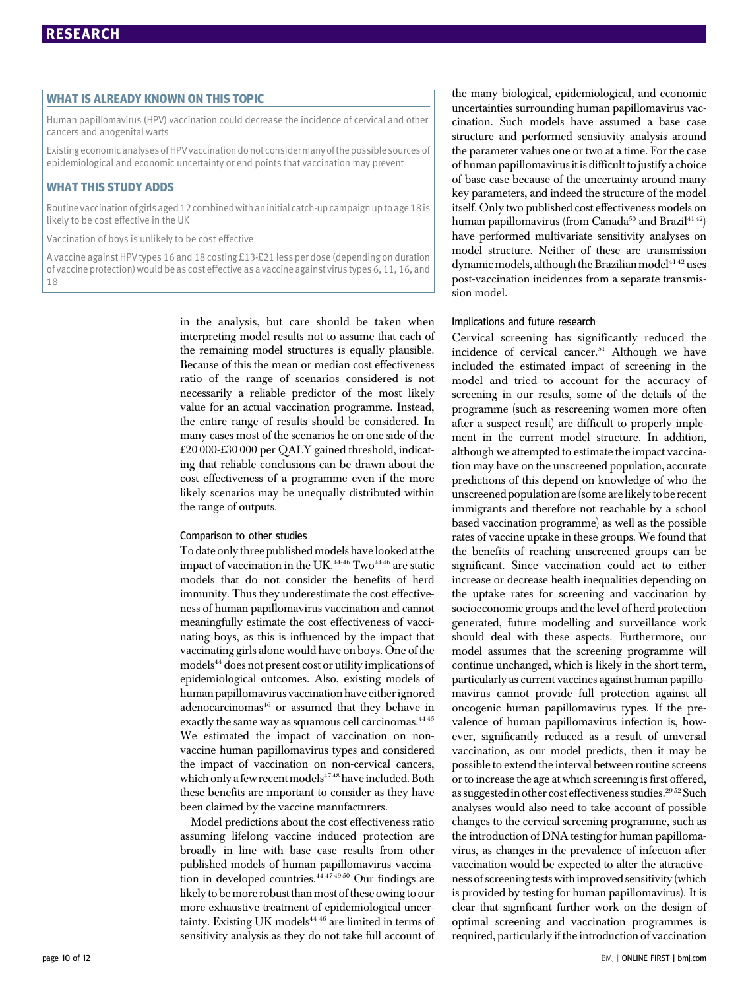Human papillomavirus (HPV) vaccination could decrease the incidence of cervical and other cancers and anogenital warts

Existing economic analyses ofHPV vaccination do not considermany of the possible sources of epidemiological and economic uncertainty or end points that vaccination may prevent

------- ------ ----- ---------<br>Routine vaccination of girls aged 12 combined with an initial catch-up campaign up to age 18 is likely to be cost effective in the UK

Vaccination of boys is unlikely to be cost effective

A vaccine against HPV types 16 and 18 costing £13-£21 less per dose (depending on duration of vaccine protection) would be as cost effective as a vaccine against virus types 6, 11, 16, and 18

> in the analysis, but care should be taken when interpreting model results not to assume that each of the remaining model structures is equally plausible. Because of this the mean or median cost effectiveness ratio of the range of scenarios considered is not necessarily a reliable predictor of the most likely value for an actual vaccination programme. Instead, the entire range of results should be considered. In many cases most of the scenarios lie on one side of the £20 000-£30 000 per QALY gained threshold, indicating that reliable conclusions can be drawn about the cost effectiveness of a programme even if the more likely scenarios may be unequally distributed within the range of outputs.

### Comparison to other studies

To date only three publishedmodels have looked at the impact of vaccination in the UK.<sup>44-46</sup> Two<sup>4446</sup> are static models that do not consider the benefits of herd immunity. Thus they underestimate the cost effectiveness of human papillomavirus vaccination and cannot meaningfully estimate the cost effectiveness of vaccinating boys, as this is influenced by the impact that vaccinating girls alone would have on boys. One of the models<sup>44</sup> does not present cost or utility implications of epidemiological outcomes. Also, existing models of human papillomavirus vaccination have either ignored adenocarcinomas<sup>46</sup> or assumed that they behave in exactly the same way as squamous cell carcinomas.<sup>4445</sup> We estimated the impact of vaccination on nonvaccine human papillomavirus types and considered the impact of vaccination on non-cervical cancers, which only a few recent models<sup>4748</sup> have included. Both these benefits are important to consider as they have been claimed by the vaccine manufacturers.

Model predictions about the cost effectiveness ratio assuming lifelong vaccine induced protection are broadly in line with base case results from other published models of human papillomavirus vaccination in developed countries. $44.474950$  Our findings are likely to be more robust than most of these owing to our more exhaustive treatment of epidemiological uncertainty. Existing UK models<sup>44-46</sup> are limited in terms of sensitivity analysis as they do not take full account of the many biological, epidemiological, and economic uncertainties surrounding human papillomavirus vaccination. Such models have assumed a base case structure and performed sensitivity analysis around the parameter values one or two at a time. For the case of human papillomavirus it is difficult to justify a choice of base case because of the uncertainty around many key parameters, and indeed the structure of the model itself. Only two published cost effectiveness models on human papillomavirus (from Canada<sup>50</sup> and Brazil<sup>4142</sup>) have performed multivariate sensitivity analyses on model structure. Neither of these are transmission dynamic models, although the Brazilian model<sup>4142</sup> uses post-vaccination incidences from a separate transmission model.

### Implications and future research

Cervical screening has significantly reduced the incidence of cervical cancer.<sup>51</sup> Although we have included the estimated impact of screening in the model and tried to account for the accuracy of screening in our results, some of the details of the programme (such as rescreening women more often after a suspect result) are difficult to properly implement in the current model structure. In addition, although we attempted to estimate the impact vaccination may have on the unscreened population, accurate predictions of this depend on knowledge of who the unscreened population are (some are likely to be recent immigrants and therefore not reachable by a school based vaccination programme) as well as the possible rates of vaccine uptake in these groups. We found that the benefits of reaching unscreened groups can be significant. Since vaccination could act to either increase or decrease health inequalities depending on the uptake rates for screening and vaccination by socioeconomic groups and the level of herd protection generated, future modelling and surveillance work should deal with these aspects. Furthermore, our model assumes that the screening programme will continue unchanged, which is likely in the short term, particularly as current vaccines against human papillomavirus cannot provide full protection against all oncogenic human papillomavirus types. If the prevalence of human papillomavirus infection is, however, significantly reduced as a result of universal vaccination, as our model predicts, then it may be possible to extend the interval between routine screens or to increase the age at which screening is first offered, as suggested in other cost effectiveness studies.<sup>2952</sup> Such analyses would also need to take account of possible changes to the cervical screening programme, such as the introduction of DNA testing for human papillomavirus, as changes in the prevalence of infection after vaccination would be expected to alter the attractiveness of screening tests with improved sensitivity (which is provided by testing for human papillomavirus). It is clear that significant further work on the design of optimal screening and vaccination programmes is required, particularly if the introduction of vaccination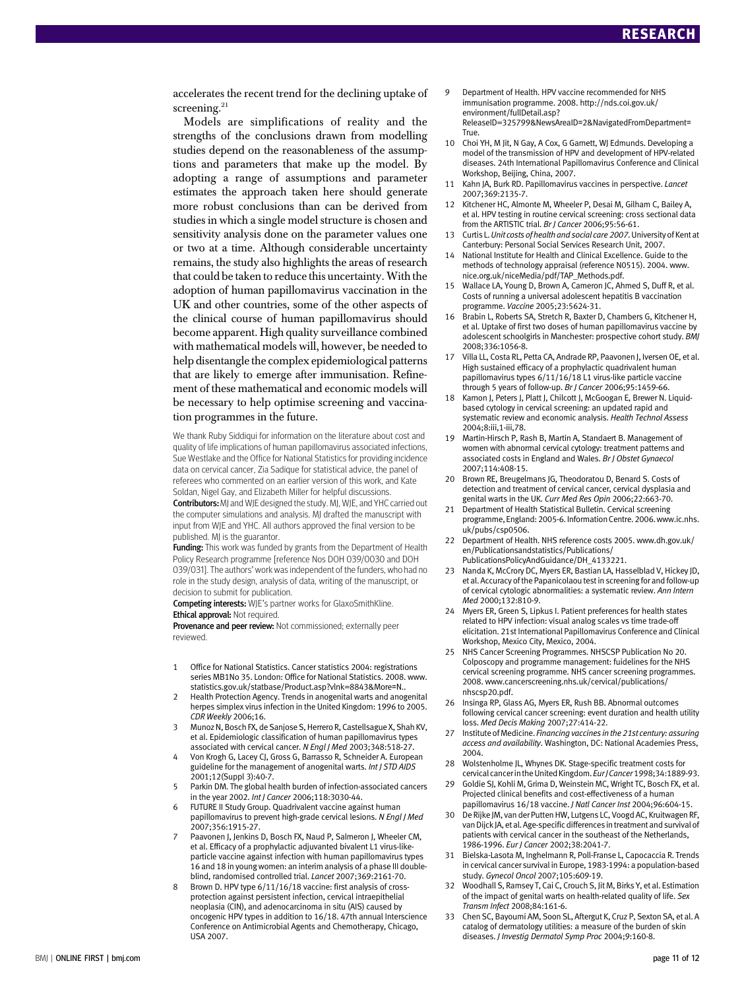accelerates the recent trend for the declining uptake of screening. $21$ 

Models are simplifications of reality and the strengths of the conclusions drawn from modelling studies depend on the reasonableness of the assumptions and parameters that make up the model. By adopting a range of assumptions and parameter estimates the approach taken here should generate more robust conclusions than can be derived from studies in which a single model structure is chosen and sensitivity analysis done on the parameter values one or two at a time. Although considerable uncertainty remains, the study also highlights the areas of research that could be taken to reduce this uncertainty. With the adoption of human papillomavirus vaccination in the UK and other countries, some of the other aspects of the clinical course of human papillomavirus should become apparent. High quality surveillance combined with mathematical models will, however, be needed to help disentangle the complex epidemiological patterns that are likely to emerge after immunisation. Refinement of these mathematical and economic models will be necessary to help optimise screening and vaccination programmes in the future.

We thank Ruby Siddiqui for information on the literature about cost and quality of life implications of human papillomavirus associated infections, Sue Westlake and the Office for National Statistics for providing incidence data on cervical cancer, Zia Sadique for statistical advice, the panel of referees who commented on an earlier version of this work, and Kate Soldan, Nigel Gay, and Elizabeth Miller for helpful discussions. Contributors:MJ and WJE designed the study. MJ, WJE, and YHC carried out

the computer simulations and analysis. MJ drafted the manuscript with input from WJE and YHC. All authors approved the final version to be published. MJ is the guarantor.

Funding: This work was funded by grants from the Department of Health Policy Research programme [reference Nos DOH 039/0030 and DOH 039/031]. The authors' work was independent of the funders, who had no role in the study design, analysis of data, writing of the manuscript, or decision to submit for publication.

Competing interests: WJE's partner works for GlaxoSmithKline. Ethical approval: Not required.

Provenance and peer review: Not commissioned; externally peer reviewed.

- 1 Office for National Statistics. Cancer statistics 2004: registrations series MB1No 35. London: Office for National Statistics. 2008. www. statistics.gov.uk/statbase/Product.asp?vlnk=8843&More=N..
- 2 Health Protection Agency. Trends in anogenital warts and anogenital herpes simplex virus infection in the United Kingdom: 1996 to 2005. CDR Weekly 2006;16.
- 3 Munoz N, Bosch FX, de Sanjose S, Herrero R, Castellsague X, Shah KV, et al. Epidemiologic classification of human papillomavirus types associated with cervical cancer. N Engl J Med 2003;348:518-27.
- 4 Von Krogh G, Lacey CJ, Gross G, Barrasso R, Schneider A. European guideline for the management of anogenital warts. Int J STD AIDS 2001;12(Suppl 3):40-7.
- 5 Parkin DM. The global health burden of infection-associated cancers in the year 2002. Int J Cancer 2006;118:3030-44.
- 6 FUTURE II Study Group. Quadrivalent vaccine against human papillomavirus to prevent high-grade cervical lesions. N Engl J Med 2007;356:1915-27.
- Paavonen J, Jenkins D, Bosch FX, Naud P, Salmeron J, Wheeler CM, et al. Efficacy of a prophylactic adjuvanted bivalent L1 virus-likeparticle vaccine against infection with human papillomavirus types 16 and 18 in young women: an interim analysis of a phase III doubleblind, randomised controlled trial. Lancet 2007;369:2161-70.
- 8 Brown D. HPV type 6/11/16/18 vaccine: first analysis of crossprotection against persistent infection, cervical intraepithelial neoplasia (CIN), and adenocarcinoma in situ (AIS) caused by oncogenic HPV types in addition to 16/18. 47th annual Interscience Conference on Antimicrobial Agents and Chemotherapy, Chicago, USA 2007.
- 9 Department of Health. HPV vaccine recommended for NHS immunisation programme. 2008. http://nds.coi.gov.uk/ environment/fullDetail.asp? ReleaseID=325799&NewsAreaID=2&NavigatedFromDepartment= True.
- 10 Choi YH, M Jit, N Gay, A Cox, G Garnett, WJ Edmunds. Developing a model of the transmission of HPV and development of HPV-related diseases. 24th International Papillomavirus Conference and Clinical Workshop, Beijing, China, 2007.
- 11 Kahn JA, Burk RD. Papillomavirus vaccines in perspective. Lancet 2007;369:2135-7.
- 12 Kitchener HC, Almonte M, Wheeler P, Desai M, Gilham C, Bailey A, et al. HPV testing in routine cervical screening: cross sectional data from the ARTISTIC trial. Br J Cancer 2006;95:56-61.
- 13 Curtis L.Unit costs of health and social care 2007. University of Kent at Canterbury: Personal Social Services Research Unit, 2007.
- 14 National Institute for Health and Clinical Excellence. Guide to the methods of technology appraisal (reference N0515). 2004. www. nice.org.uk/niceMedia/pdf/TAP\_Methods.pdf.
- 15 Wallace LA, Young D, Brown A, Cameron JC, Ahmed S, Duff R, et al. Costs of running a universal adolescent hepatitis B vaccination programme. Vaccine 2005;23:5624-31.
- 16 Brabin L, Roberts SA, Stretch R, Baxter D, Chambers G, Kitchener H, et al. Uptake of first two doses of human papillomavirus vaccine by adolescent schoolgirls in Manchester: prospective cohort study. BMJ 2008;336:1056-8.
- 17 Villa LL, Costa RL, Petta CA, Andrade RP, Paavonen J, Iversen OE, et al. High sustained efficacy of a prophylactic quadrivalent human papillomavirus types 6/11/16/18 L1 virus-like particle vaccine through 5 years of follow-up. Br J Cancer 2006;95:1459-66.
- 18 Karnon J, Peters J, Platt J, Chilcott J, McGoogan E, Brewer N. Liquidbased cytology in cervical screening: an updated rapid and systematic review and economic analysis. Health Technol Assess 2004;8:iii,1-iii,78.
- 19 Martin-Hirsch P, Rash B, Martin A, Standaert B. Management of women with abnormal cervical cytology: treatment patterns and associated costs in England and Wales. Br J Obstet Gynaecol 2007;114:408-15.
- 20 Brown RE, Breugelmans JG, Theodoratou D, Benard S. Costs of detection and treatment of cervical cancer, cervical dysplasia and genital warts in the UK. Curr Med Res Opin 2006;22:663-70.
- 21 Department of Health Statistical Bulletin. Cervical screening programme, England: 2005-6.Information Centre. 2006.www.ic.nhs. uk/pubs/csp0506.
- 22 Department of Health. NHS reference costs 2005. www.dh.gov.uk/ en/Publicationsandstatistics/Publications/ PublicationsPolicyAndGuidance/DH\_4133221.
- 23 Nanda K, McCrory DC, Myers ER, Bastian LA, Hasselblad V, Hickey JD, et al. Accuracy of the Papanicolaou test in screening for and follow-up of cervical cytologic abnormalities: a systematic review. Ann Intern Med 2000;132:810-9.
- 24 Myers ER, Green S, Lipkus I. Patient preferences for health states related to HPV infection: visual analog scales vs time trade-off elicitation. 21st International Papillomavirus Conference and Clinical Workshop, Mexico City, Mexico, 2004.
- 25 NHS Cancer Screening Programmes. NHSCSP Publication No 20. Colposcopy and programme management: fuidelines for the NHS cervical screening programme. NHS cancer screening programmes. 2008. www.cancerscreening.nhs.uk/cervical/publications/ nhscsp20.pdf.
- 26 Insinga RP, Glass AG, Myers ER, Rush BB. Abnormal outcomes following cervical cancer screening: event duration and health utility loss. Med Decis Making 2007;27:414-22.
- 27 Institute of Medicine. Financina vaccines in the 21st century: assuring access and availability. Washington, DC: National Academies Press, 2004.
- 28 Wolstenholme JL, Whynes DK. Stage-specific treatment costs for cervical cancer in the United Kingdom. Eur J Cancer 1998; 34: 1889-93.
- 29 Goldie SJ, Kohli M, Grima D, Weinstein MC, Wright TC, Bosch FX, et al. Projected clinical benefits and cost-effectiveness of a human papillomavirus 16/18 vaccine. J Natl Cancer Inst 2004;96:604-15.
- 30 De Rijke JM, van der Putten HW, Lutgens LC, Voogd AC, Kruitwagen RF, van DijckJA, et al. Age-specific differencesin treatment and survival of patients with cervical cancer in the southeast of the Netherlands, 1986-1996. Eur J Cancer 2002;38:2041-7.
- 31 Bielska-Lasota M, Inghelmann R, Poll-Franse L, Capocaccia R. Trends in cervical cancer survival in Europe, 1983-1994: a population-based study. Gynecol Oncol 2007;105:609-19.
- 32 Woodhall S, Ramsey T, Cai C, Crouch S, Jit M, Birks Y, et al. Estimation of the impact of genital warts on health-related quality of life. Sex Transm Infect 2008;84:161-6.
- 33 Chen SC, Bayoumi AM, Soon SL, Aftergut K, Cruz P, Sexton SA, et al. A catalog of dermatology utilities: a measure of the burden of skin diseases. J Investig Dermatol Symp Proc 2004;9:160-8.